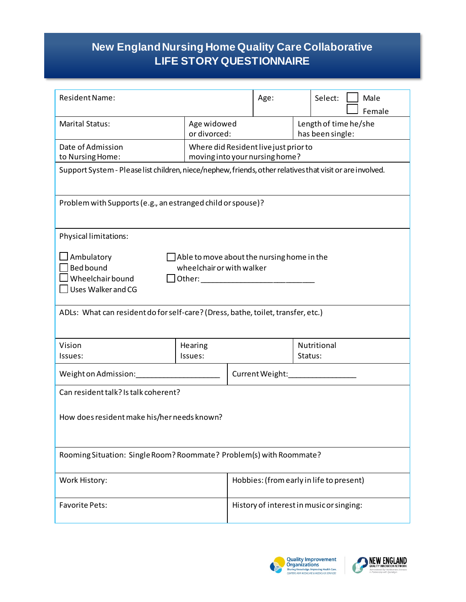## **books New England Nursing Home Quality Care Collaborative LIFE STORY QUESTIONNAIRE**

| <b>Resident Name:</b>                                                                                                                                                                                                                                                                                                                                                                               |                                                                         |                                          | Age:                   |                 | Select:                                   |  | Male<br>Female |  |
|-----------------------------------------------------------------------------------------------------------------------------------------------------------------------------------------------------------------------------------------------------------------------------------------------------------------------------------------------------------------------------------------------------|-------------------------------------------------------------------------|------------------------------------------|------------------------|-----------------|-------------------------------------------|--|----------------|--|
| <b>Marital Status:</b>                                                                                                                                                                                                                                                                                                                                                                              |                                                                         | Age widowed<br>or divorced:              |                        |                 | Length of time he/she<br>has been single: |  |                |  |
| Date of Admission<br>to Nursing Home:                                                                                                                                                                                                                                                                                                                                                               | Where did Resident live just prior to<br>moving into your nursing home? |                                          |                        |                 |                                           |  |                |  |
| Support System - Please list children, niece/nephew, friends, other relatives that visit or are involved.                                                                                                                                                                                                                                                                                           |                                                                         |                                          |                        |                 |                                           |  |                |  |
| Problem with Supports (e.g., an estranged child or spouse)?                                                                                                                                                                                                                                                                                                                                         |                                                                         |                                          |                        |                 |                                           |  |                |  |
| Physical limitations:                                                                                                                                                                                                                                                                                                                                                                               |                                                                         |                                          |                        |                 |                                           |  |                |  |
| Ambulatory<br>$\Box$ Able to move about the nursing home in the<br><b>Bed bound</b><br>wheelchair or with walker<br>Wheelchair bound<br>Other: will be a state of the state of the state of the state of the state of the state of the state of the state of the state of the state of the state of the state of the state of the state of the state of the state of t<br>$\Box$ Uses Walker and CG |                                                                         |                                          |                        |                 |                                           |  |                |  |
| ADLs: What can resident do for self-care? (Dress, bathe, toilet, transfer, etc.)                                                                                                                                                                                                                                                                                                                    |                                                                         |                                          |                        |                 |                                           |  |                |  |
| Vision<br>Issues:                                                                                                                                                                                                                                                                                                                                                                                   | Hearing<br>Issues:                                                      |                                          | Nutritional<br>Status: |                 |                                           |  |                |  |
| Weight on Admission:                                                                                                                                                                                                                                                                                                                                                                                |                                                                         |                                          |                        | Current Weight: |                                           |  |                |  |
| Can resident talk? Is talk coherent?                                                                                                                                                                                                                                                                                                                                                                |                                                                         |                                          |                        |                 |                                           |  |                |  |
| How does resident make his/her needs known?                                                                                                                                                                                                                                                                                                                                                         |                                                                         |                                          |                        |                 |                                           |  |                |  |
| Rooming Situation: Single Room? Roommate? Problem(s) with Roommate?                                                                                                                                                                                                                                                                                                                                 |                                                                         |                                          |                        |                 |                                           |  |                |  |
| Work History:                                                                                                                                                                                                                                                                                                                                                                                       |                                                                         | Hobbies: (from early in life to present) |                        |                 |                                           |  |                |  |
| <b>Favorite Pets:</b>                                                                                                                                                                                                                                                                                                                                                                               |                                                                         | History of interest in music or singing: |                        |                 |                                           |  |                |  |